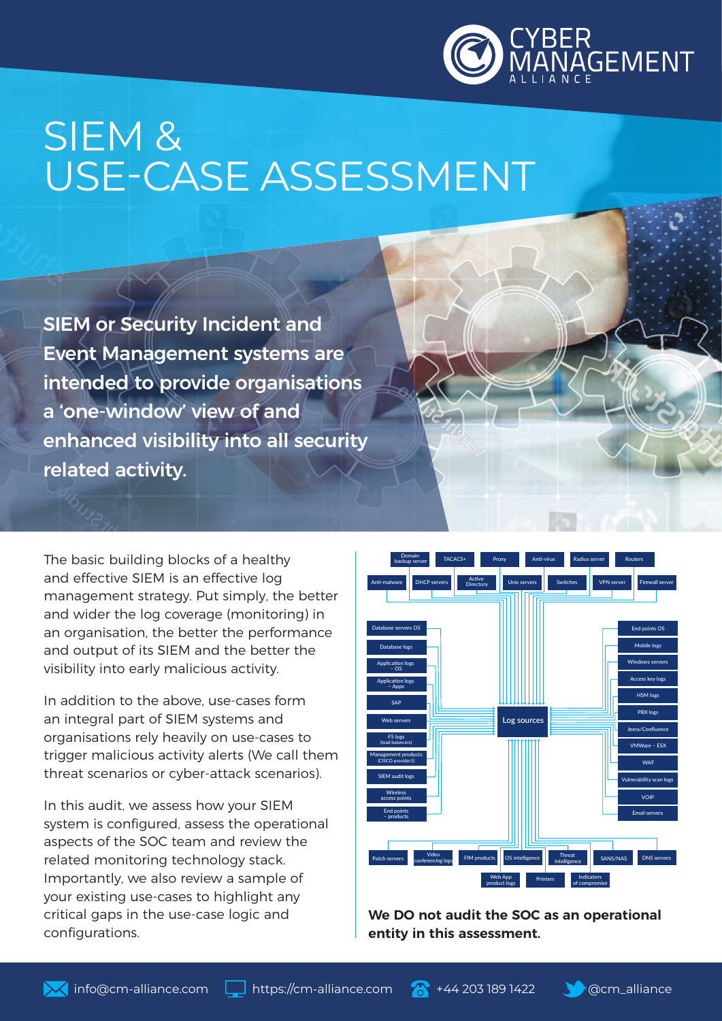

# SIEM & USE-CASE ASSESSMENT

SIEM or Security Incident and Event Management systems are intended to provide organisations a 'one-window' view of and enhanced visibility into all security related activity.

The basic building blocks of a healthy and effective SIEM is an effective log management strategy. Put simply, the better and wider the log coverage (monitoring) in an organisation, the better the performance and output of its SIEM and the better the visibility into early malicious activity.

In addition to the above, use-cases form an integral part of SIEM systems and organisations rely heavily on use-cases to trigger malicious activity alerts (We call them threat scenarios or cyber-attack scenarios).

In this audit, we assess how your SIEM system is configured, assess the operational aspects of the SOC team and review the related monitoring technology stack. Importantly, we also review a sample of your existing use-cases to highlight any critical gaps in the use-case logic and configurations.



**We DO not audit the SOC as an operational entity in this assessment.** 

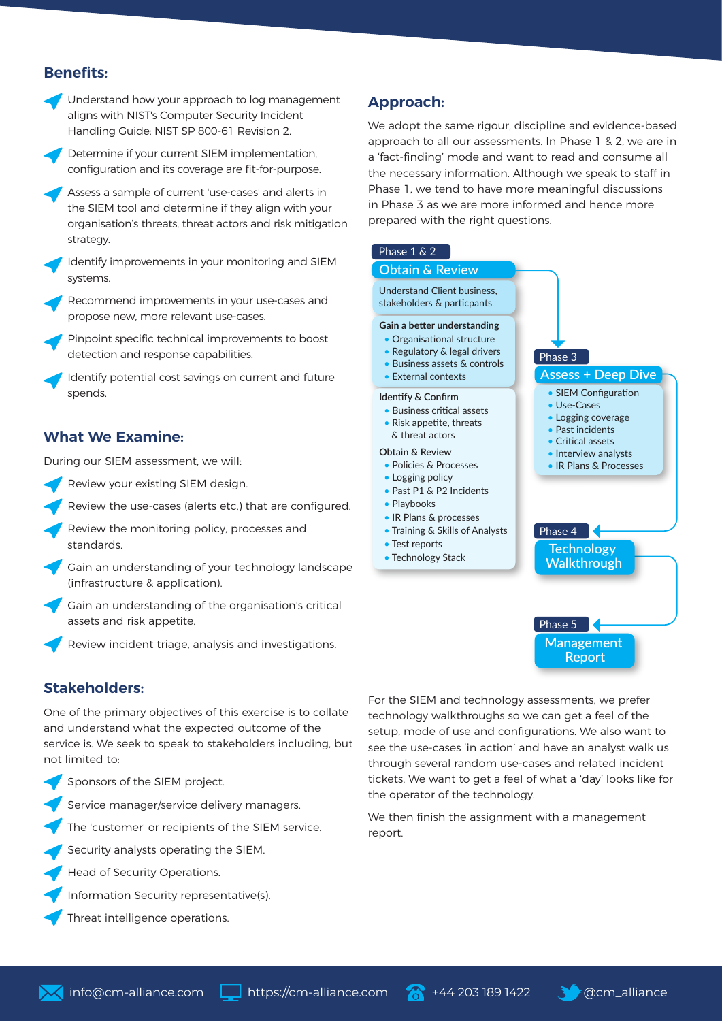# **Benefits:**



Determine if your current SIEM implementation, configuration and its coverage are fit-for-purpose.

Assess a sample of current 'use-cases' and alerts in the SIEM tool and determine if they align with your organisation's threats, threat actors and risk mitigation strategy.

Identify improvements in your monitoring and SIEM systems.

Recommend improvements in your use-cases and propose new, more relevant use-cases.

Pinpoint specific technical improvements to boost detection and response capabilities.

Identify potential cost savings on current and future spends.

#### **What We Examine:**

During our SIEM assessment, we will:

- Review your existing SIEM design.
- Review the use-cases (alerts etc.) that are configured.
- Review the monitoring policy, processes and standards.
- Gain an understanding of your technology landscape (infrastructure & application).
- Gain an understanding of the organisation's critical assets and risk appetite.
- Review incident triage, analysis and investigations.

#### **Stakeholders:**

One of the primary objectives of this exercise is to collate and understand what the expected outcome of the service is. We seek to speak to stakeholders including, but not limited to:

- Sponsors of the SIEM project.
- Service manager/service delivery managers.

The 'customer' or recipients of the SIEM service.

- Security analysts operating the SIEM.
- Head of Security Operations.
- Information Security representative(s).
- Threat intelligence operations.

## **Approach:**

We adopt the same rigour, discipline and evidence-based approach to all our assessments. In Phase 1 & 2, we are in a 'fact-finding' mode and want to read and consume all the necessary information. Although we speak to staff in Phase 1, we tend to have more meaningful discussions in Phase 3 as we are more informed and hence more prepared with the right questions.

#### Phase 1 & 2

#### **Obtain & Review** Understand Client business,

stakeholders & particpants

#### **Gain a better understanding**

- Organisational structure
- Regulatory & legal drivers • Business assets & controls
- External contexts
- 

#### **Identify & Confirm**

- Business critical assets
- Risk appetite, threats & threat actors

#### **Obtain & Review**

- Policies & Processes
- Logging policy • Past P1 & P2 Incidents
- Playbooks
- IR Plans & processes
- Training & Skills of Analysts
- Test reports
- Technology Stack



Phase 4

**Assess + Deep Dive**

• SIEM Configuration • Use-Cases • Logging coverage • Past incidents • Critical assets • Interview analysts • IR Plans & Processes

Phase 3

**Technology Walkthrough**



For the SIEM and technology assessments, we prefer technology walkthroughs so we can get a feel of the setup, mode of use and configurations. We also want to see the use-cases 'in action' and have an analyst walk us through several random use-cases and related incident tickets. We want to get a feel of what a 'day' looks like for the operator of the technology.

We then finish the assignment with a management report.